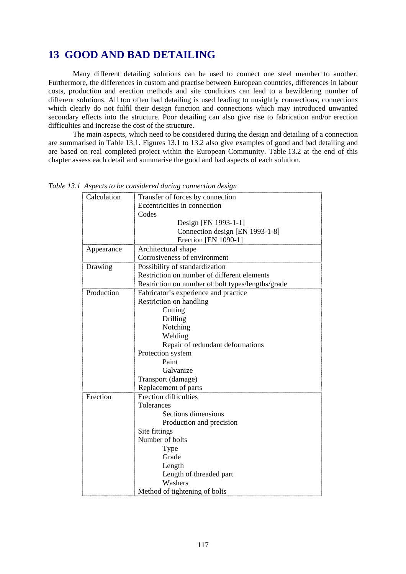## **13 GOOD AND BAD DETAILING**

 Many different detailing solutions can be used to connect one steel member to another. Furthermore, the differences in custom and practise between European countries, differences in labour costs, production and erection methods and site conditions can lead to a bewildering number of different solutions. All too often bad detailing is used leading to unsightly connections, connections which clearly do not fulfil their design function and connections which may introduced unwanted secondary effects into the structure. Poor detailing can also give rise to fabrication and/or erection difficulties and increase the cost of the structure.

 The main aspects, which need to be considered during the design and detailing of a connection are summarised in Table 13.1. Figures 13.1 to 13.2 also give examples of good and bad detailing and are based on real completed project within the European Community. Table 13.2 at the end of this chapter assess each detail and summarise the good and bad aspects of each solution.

| Calculation | Transfer of forces by connection                  |  |
|-------------|---------------------------------------------------|--|
|             | Eccentricities in connection                      |  |
|             | Codes                                             |  |
|             | Design [EN 1993-1-1]                              |  |
|             | Connection design [EN 1993-1-8]                   |  |
|             | Erection [EN 1090-1]                              |  |
| Appearance  | Architectural shape                               |  |
|             | Corrosiveness of environment                      |  |
| Drawing     | Possibility of standardization                    |  |
|             | Restriction on number of different elements       |  |
|             | Restriction on number of bolt types/lengths/grade |  |
| Production  | Fabricator's experience and practice              |  |
|             | Restriction on handling                           |  |
|             | Cutting                                           |  |
|             | Drilling                                          |  |
|             | Notching                                          |  |
|             | Welding                                           |  |
|             | Repair of redundant deformations                  |  |
|             | Protection system                                 |  |
|             | Paint                                             |  |
|             | Galvanize                                         |  |
|             | Transport (damage)                                |  |
|             | Replacement of parts                              |  |
| Erection    | <b>Erection difficulties</b>                      |  |
|             | <b>Tolerances</b>                                 |  |
|             | Sections dimensions                               |  |
|             | Production and precision                          |  |
|             | Site fittings                                     |  |
|             | Number of bolts                                   |  |
|             | Type                                              |  |
|             | Grade                                             |  |
|             | Length                                            |  |
|             | Length of threaded part                           |  |
|             | Washers                                           |  |
|             | Method of tightening of bolts                     |  |

*Table 13.1 Aspects to be considered during connection design*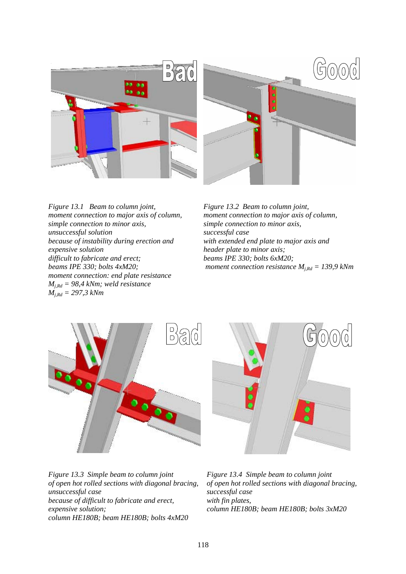

*Figure 13.1 Beam to column joint, moment connection to major axis of column, simple connection to minor axis, unsuccessful solution because of instability during erection and expensive solution difficult to fabricate and erect; beams IPE 330; bolts 4xM20; moment connection: end plate resistance Mj,Rd = 98,4 kNm; weld resistance Mj,Rd = 297,3 kNm* 

*Figure 13.2 Beam to column joint, moment connection to major axis of column, simple connection to minor axis, successful case with extended end plate to major axis and header plate to minor axis; beams IPE 330; bolts 6xM20; moment connection resistance*  $M_{i, Rd} = 139.9$  kNm





*Figure 13.3 Simple beam to column joint of open hot rolled sections with diagonal bracing, unsuccessful case because of difficult to fabricate and erect, expensive solution; column HE180B; beam HE180B; bolts 4xM20* 

*Figure 13.4 Simple beam to column joint of open hot rolled sections with diagonal bracing, successful case with fin plates, column HE180B; beam HE180B; bolts 3xM20*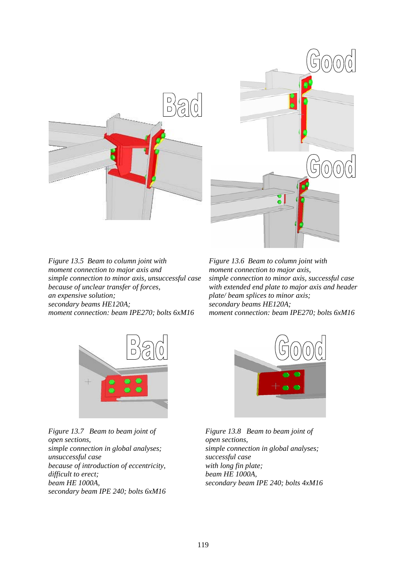

*Figure 13.5 Beam to column joint with moment connection to major axis and simple connection to minor axis, unsuccessful case because of unclear transfer of forces, an expensive solution; secondary beams HE120A; moment connection: beam IPE270; bolts 6xM16* 

*Figure 13.6 Beam to column joint with moment connection to major axis, simple connection to minor axis, successful case with extended end plate to major axis and header plate/ beam splices to minor axis; secondary beams HE120A; moment connection: beam IPE270; bolts 6xM16*



*Figure 13.7 Beam to beam joint of open sections, simple connection in global analyses; unsuccessful case because of introduction of eccentricity, difficult to erect; beam HE 1000A, secondary beam IPE 240; bolts 6xM16* 



*Figure 13.8 Beam to beam joint of open sections, simple connection in global analyses; successful case with long fin plate; beam HE 1000A, secondary beam IPE 240; bolts 4xM16*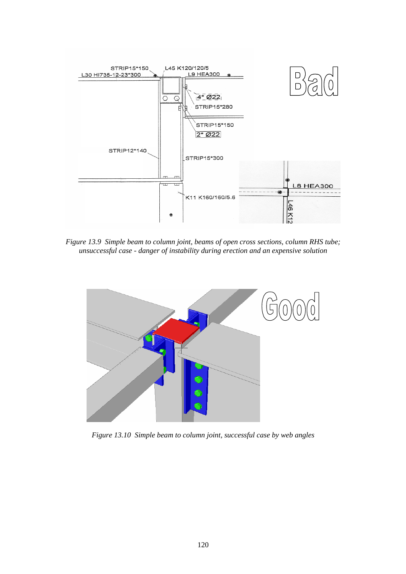

*Figure 13.9 Simple beam to column joint, beams of open cross sections, column RHS tube; unsuccessful case - danger of instability during erection and an expensive solution* 



*Figure 13.10 Simple beam to column joint, successful case by web angles*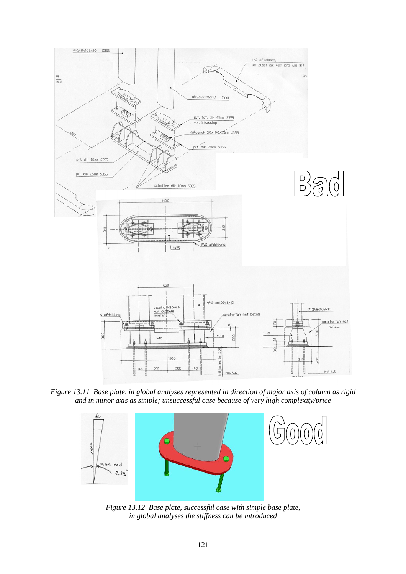

*Figure 13.11 Base plate, in global analyses represented in direction of major axis of column as rigid and in minor axis as simple; unsuccessful case because of very high complexity/price* 



*Figure 13.12 Base plate, successful case with simple base plate, in global analyses the stiffness can be introduced*